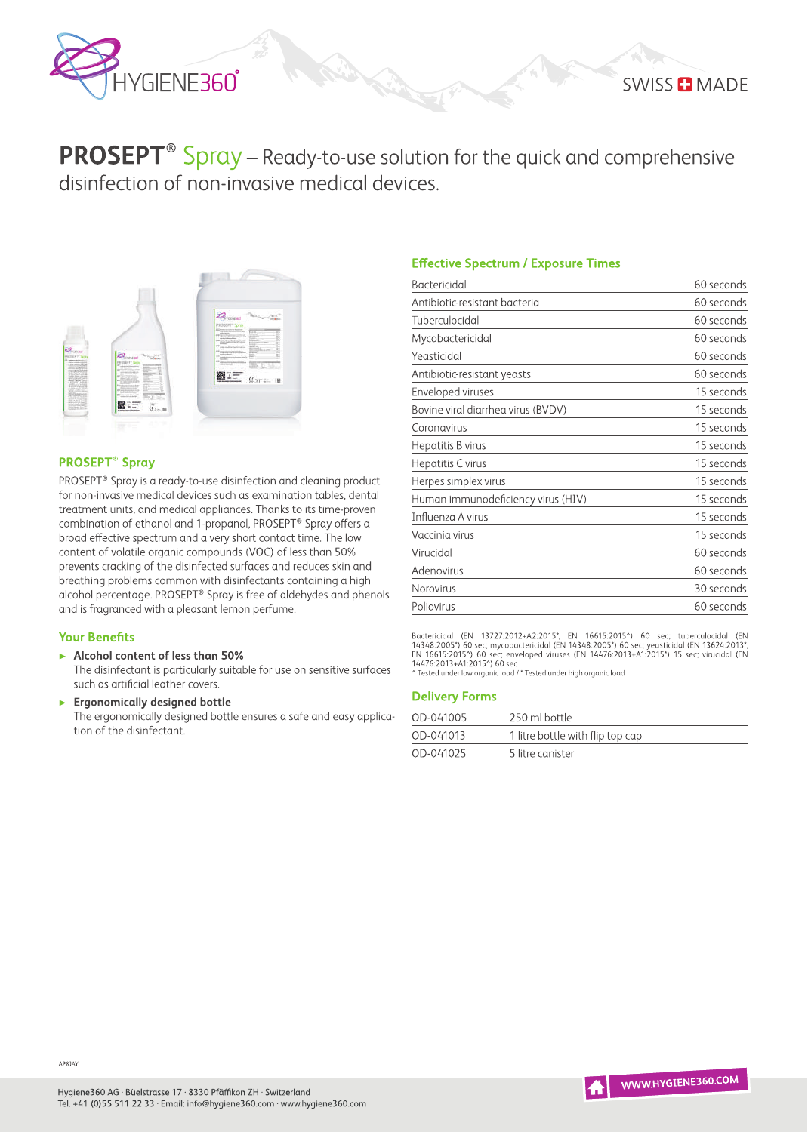

# **SWISS & MADE**

**PROSEPT**<sup>®</sup> Spray – Ready-to-use solution for the quick and comprehensive disinfection of non-invasive medical devices.



## **PROSEPT<sup>®</sup> Spray**

PROSEPT® Spray is a ready-to-use disinfection and cleaning product for non-invasive medical devices such as examination tables, dental treatment units, and medical appliances. Thanks to its time-proven combination of ethanol and 1-propanol, PROSEPT® Spray offers a broad effective spectrum and a very short contact time. The low content of volatile organic compounds (VOC) of less than 50% prevents cracking of the disinfected surfaces and reduces skin and breathing problems common with disinfectants containing a high alcohol percentage. PROSEPT® Spray is free of aldehydes and phenols and is fragranced with a pleasant lemon perfume.

#### **Your Benefits**

Alcohol content of less than 50%

The disinfectant is particularly suitable for use on sensitive surfaces such as artificial leather covers.

**Ergonomically designed bottle** The ergonomically designed bottle ensures a safe and easy application of the disinfectant.

# **Effective Spectrum / Exposure Times**

| <b>Bactericidal</b>                | 60 seconds |
|------------------------------------|------------|
| Antibiotic-resistant bacteria      | 60 seconds |
| Tuberculocidal                     | 60 seconds |
| Mycobactericidal                   | 60 seconds |
| Yeasticidal                        | 60 seconds |
| Antibiotic-resistant yeasts        | 60 seconds |
| Enveloped viruses                  | 15 seconds |
| Bovine viral diarrhea virus (BVDV) | 15 seconds |
| Coronavirus                        | 15 seconds |
| Hepatitis B virus                  | 15 seconds |
| Hepatitis C virus                  | 15 seconds |
| Herpes simplex virus               | 15 seconds |
| Human immunodeficiency virus (HIV) | 15 seconds |
| Influenza A virus                  | 15 seconds |
| Vaccinia virus                     | 15 seconds |
| Virucidal                          | 60 seconds |
| Adenovirus                         | 60 seconds |
| Norovirus                          | 30 seconds |
| Poliovirus                         | 60 seconds |

Bactericidal (EN 13727:2012+A2:2015\*, EN 16615:2015^) 60 sec; tuberculocidal (EN 14348:2005\*) 60 sec; mycobactericidal (EN 14348:2005\*) 60 sec; enveloped viruses (EN 14476:2013+A1:2015\*) 15 sec; virucidal (EN 14476:2013\*,

#### **Delivery Forms**

| OD-041005 | 250 ml bottle                    |
|-----------|----------------------------------|
| OD-041013 | 1 litre bottle with flip top cap |
| OD-041025 | 5 litre canister                 |